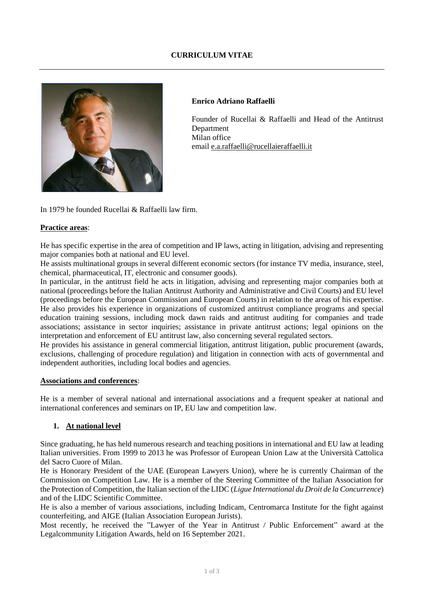# **CURRICULUM VITAE**



### **Enrico Adriano Raffaelli**

Founder of Rucellai & Raffaelli and Head of the Antitrust Department Milan office email [e.a.raffaelli@rucellaieraffaelli.it](mailto:e.a.raffaelli@rucellaieraffaelli.it) 

In 1979 he founded Rucellai & Raffaelli law firm.

## **Practice areas**:

He has specific expertise in the area of competition and IP laws, acting in litigation, advising and representing major companies both at national and EU level.

He assists multinational groups in several different economic sectors (for instance TV media, insurance, steel, chemical, pharmaceutical, IT, electronic and consumer goods).

In particular, in the antitrust field he acts in litigation, advising and representing major companies both at national (proceedings before the Italian Antitrust Authority and Administrative and Civil Courts) and EU level (proceedings before the European Commission and European Courts) in relation to the areas of his expertise. He also provides his experience in organizations of customized antitrust compliance programs and special education training sessions, including mock dawn raids and antitrust auditing for companies and trade associations; assistance in sector inquiries; assistance in private antitrust actions; legal opinions on the interpretation and enforcement of EU antitrust law, also concerning several regulated sectors.

He provides his assistance in general commercial litigation, antitrust litigation, public procurement (awards, exclusions, challenging of procedure regulation) and litigation in connection with acts of governmental and independent authorities, including local bodies and agencies.

#### **Associations and conferences**:

He is a member of several national and international associations and a frequent speaker at national and international conferences and seminars on IP, EU law and competition law.

## **1. At national level**

Since graduating, he has held numerous research and teaching positions in international and EU law at leading Italian universities. From 1999 to 2013 he was Professor of European Union Law at the Università Cattolica del Sacro Cuore of Milan.

He is Honorary President of the UAE (European Lawyers Union), where he is currently Chairman of the Commission on Competition Law. He is a member of the Steering Committee of the Italian Association for the Protection of Competition, the Italian section of the LIDC (*Ligue International du Droit de la Concurrence*) and of the LIDC Scientific Committee.

He is also a member of various associations, including Indicam, Centromarca Institute for the fight against counterfeiting, and AIGE (Italian Association European Jurists).

Most recently, he received the "Lawyer of the Year in Antitrust / Public Enforcement" award at the Legalcommunity Litigation Awards, held on 16 September 2021.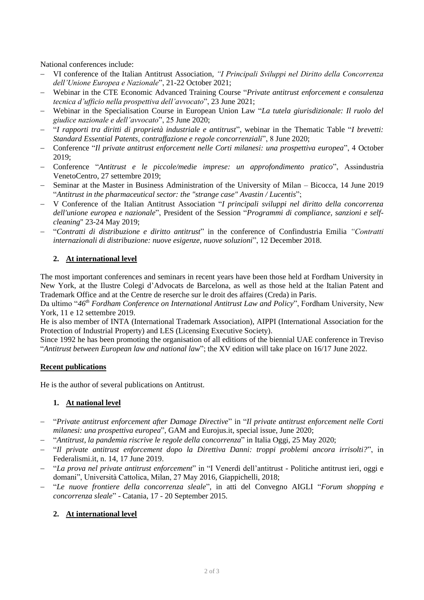National conferences include:

- − VI conference of the Italian Antitrust Association, *"I Principali Sviluppi nel Diritto della Concorrenza dell'Unione Europea e Nazionale*", 21-22 October 2021;
- − Webinar in the CTE Economic Advanced Training Course "*Private antitrust enforcement e consulenza tecnica d'ufficio nella prospettiva dell'avvocato*", 23 June 2021;
- − Webinar in the Specialisation Course in European Union Law "*La tutela giurisdizionale: Il ruolo del giudice nazionale e dell'avvocato*", 25 June 2020;
- − "*I rapporti tra diritti di proprietà industriale e antitrust*", webinar in the Thematic Table "*I brevetti: Standard Essential Patents, contraffazione e regole concorrenziali*", 8 June 2020;
- − Conference "*Il private antitrust enforcement nelle Corti milanesi: una prospettiva europea*", 4 October 2019;
- − Conference "*Antitrust e le piccole/medie imprese: un approfondimento pratico*", Assindustria VenetoCentro, 27 settembre 2019;
- − Seminar at the Master in Business Administration of the University of Milan Bicocca, 14 June 2019 "*Antitrust in the pharmaceutical sector: the "strange case" Avastin / Lucentis*";
- − V Conference of the Italian Antitrust Association "*I principali sviluppi nel diritto della concorrenza dell'unione europea e nazionale*", President of the Session "*Programmi di compliance, sanzioni e selfcleaning*" 23-24 May 2019;
- − "*Contratti di distribuzione e diritto antitrust*" in the conference of Confindustria Emilia *"Contratti internazionali di distribuzione: nuove esigenze, nuove soluzioni*", 12 December 2018.

# **2. At international level**

The most important conferences and seminars in recent years have been those held at Fordham University in New York, at the Ilustre Colegi d'Advocats de Barcelona, as well as those held at the Italian Patent and Trademark Office and at the Centre de reserche sur le droit des affaires (Creda) in Paris.

Da ultimo "*46th Fordham Conference on International Antitrust Law and Policy*", Fordham University, New York, 11 e 12 settembre 2019.

He is also member of INTA (International Trademark Association), AIPPI (International Association for the Protection of Industrial Property) and LES (Licensing Executive Society).

Since 1992 he has been promoting the organisation of all editions of the biennial UAE conference in Treviso "*Antitrust between European law and national law*"; the XV edition will take place on 16/17 June 2022.

# **Recent publications**

He is the author of several publications on Antitrust.

# **1. At national level**

- − "*Private antitrust enforcement after Damage Directive*" in "*Il private antitrust enforcement nelle Corti milanesi: una prospettiva europea*", GAM and Eurojus.it, special issue, June 2020;
- − "*Antitrust, la pandemia riscrive le regole della concorrenza*" in Italia Oggi, 25 May 2020;
- − "*Il private antitrust enforcement dopo la Direttiva Danni: troppi problemi ancora irrisolti?*", in Federalismi.it, n. 14, 17 June 2019.
- − "*La prova nel private antitrust enforcement*" in "I Venerdì dell'antitrust Politiche antitrust ieri, oggi e domani", Università Cattolica, Milan, 27 May 2016, Giappichelli, 2018;
- − "*Le nuove frontiere della concorrenza sleale*"*,* in atti del Convegno AIGLI "*Forum shopping e concorrenza sleale*" - Catania, 17 - 20 September 2015.

# **2. At international level**